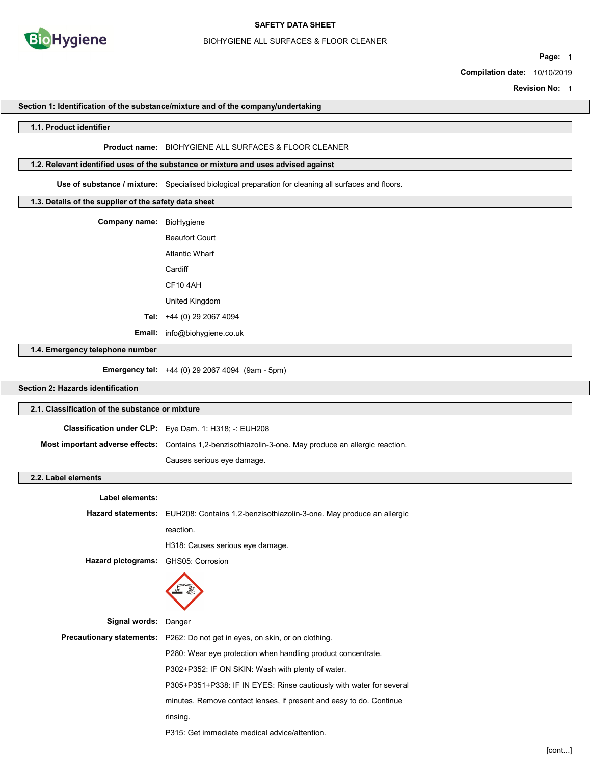

#### BIOHYGIENE ALL SURFACES & FLOOR CLEANER

Page: 1

Compilation date: 10/10/2019

Revision No: 1

#### Section 1: Identification of the substance/mixture and of the company/undertaking

#### 1.1. Product identifier

#### Product name: BIOHYGIENE ALL SURFACES & FLOOR CLEANER

## 1.2. Relevant identified uses of the substance or mixture and uses advised against

Use of substance / mixture: Specialised biological preparation for cleaning all surfaces and floors.

## 1.3. Details of the supplier of the safety data sheet

| Company name: | BioHygiene                 |
|---------------|----------------------------|
|               | <b>Beaufort Court</b>      |
|               | Atlantic Wharf             |
|               | Cardiff                    |
|               | CF104AH                    |
|               | United Kingdom             |
|               | Tel: $+44(0)$ 29 2067 4094 |
| Email:        | info@biohygiene.co.uk      |

1.4. Emergency telephone number

Emergency tel: +44 (0) 29 2067 4094 (9am - 5pm)

## Section 2: Hazards identification

## 2.1. Classification of the substance or mixture

| <b>Classification under CLP:</b> Eye Dam. 1: H318: -: EUH208                                           |
|--------------------------------------------------------------------------------------------------------|
| Most important adverse effects: Contains 1,2-benzisothiazolin-3-one. May produce an allergic reaction. |
| Causes serious eye damage.                                                                             |

## 2.2. Label elements

| anei eigilielits.                   |                                                                                                |
|-------------------------------------|------------------------------------------------------------------------------------------------|
| Label elements:                     |                                                                                                |
|                                     | <b>Hazard statements:</b> EUH208: Contains 1,2-benzisothiazolin-3-one. May produce an allergic |
|                                     | reaction.                                                                                      |
|                                     | H318: Causes serious eye damage.                                                               |
| Hazard pictograms: GHS05: Corrosion |                                                                                                |
|                                     |                                                                                                |
| Signal words:                       | Danger                                                                                         |
|                                     | Precautionary statements: P262: Do not get in eyes, on skin, or on clothing.                   |
|                                     | P280: Wear eye protection when handling product concentrate.                                   |
|                                     | P302+P352: IF ON SKIN: Wash with plenty of water.                                              |
|                                     | P305+P351+P338: IF IN EYES: Rinse cautiously with water for several                            |
|                                     | minutes. Remove contact lenses, if present and easy to do. Continue                            |
|                                     | rinsing.                                                                                       |
|                                     | P315: Get immediate medical advice/attention.                                                  |
|                                     |                                                                                                |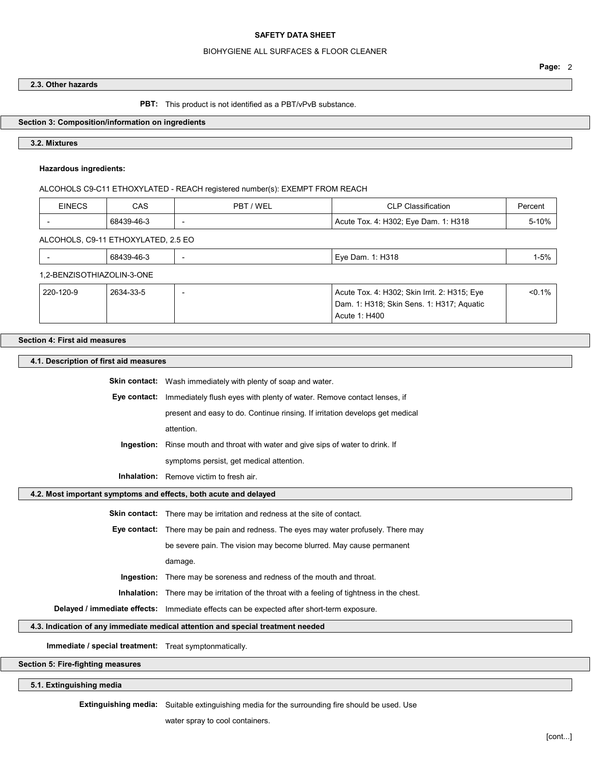#### BIOHYGIENE ALL SURFACES & FLOOR CLEANER

#### 2.3. Other hazards

PBT: This product is not identified as a PBT/vPvB substance.

## Section 3: Composition/information on ingredients

#### 3.2. Mixtures

### Hazardous ingredients:

ALCOHOLS C9-C11 ETHOXYLATED - REACH registered number(s): EXEMPT FROM REACH

| <b>EINECS</b>              | CAS                                 | PBT / WEL                | <b>CLP Classification</b>                    | Percent  |
|----------------------------|-------------------------------------|--------------------------|----------------------------------------------|----------|
|                            | 68439-46-3                          | $\overline{\phantom{0}}$ | Acute Tox. 4: H302; Eye Dam. 1: H318         | 5-10%    |
|                            | ALCOHOLS, C9-11 ETHOXYLATED, 2.5 EO |                          |                                              |          |
| $\overline{\phantom{0}}$   | 68439-46-3                          | $\overline{\phantom{0}}$ | Eye Dam. 1: H318                             | $1 - 5%$ |
| 1,2-BENZISOTHIAZOLIN-3-ONE |                                     |                          |                                              |          |
| 220-120-9                  | 2634-33-5                           |                          | Acute Tox. 4: H302; Skin Irrit. 2: H315; Eye | < 0.1%   |

Dam. 1: H318; Skin Sens. 1: H317; Aquatic

Acute 1: H400

## Section 4: First aid measures

4.1. Description of first aid measures Skin contact: Wash immediately with plenty of soap and water. Eye contact: Immediately flush eyes with plenty of water. Remove contact lenses, if present and easy to do. Continue rinsing. If irritation develops get medical attention. Ingestion: Rinse mouth and throat with water and give sips of water to drink. If symptoms persist, get medical attention. Inhalation: Remove victim to fresh air. 4.2. Most important symptoms and effects, both acute and delayed Skin contact: There may be irritation and redness at the site of contact. Eye contact: There may be pain and redness. The eyes may water profusely. There may be severe pain. The vision may become blurred. May cause permanent damage. Ingestion: There may be soreness and redness of the mouth and throat. Inhalation: There may be irritation of the throat with a feeling of tightness in the chest. Delayed / immediate effects: Immediate effects can be expected after short-term exposure. 4.3. Indication of any immediate medical attention and special treatment needed Immediate / special treatment: Treat symptonmatically.

Section 5: Fire-fighting measures

5.1. Extinguishing media

Extinguishing media: Suitable extinguishing media for the surrounding fire should be used. Use

water spray to cool containers.

#### [cont...]

Page: 2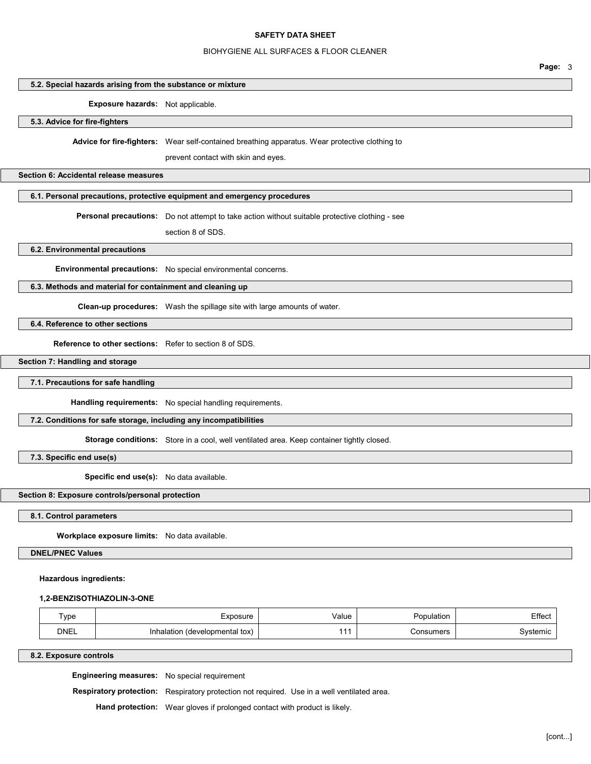#### BIOHYGIENE ALL SURFACES & FLOOR CLEANER

# Page: 3

# 5.2. Special hazards arising from the substance or mixture

Exposure hazards: Not applicable.

## 5.3. Advice for fire-fighters

Advice for fire-fighters: Wear self-contained breathing apparatus. Wear protective clothing to

prevent contact with skin and eyes.

## Section 6: Accidental release measures

## 6.1. Personal precautions, protective equipment and emergency procedures

Personal precautions: Do not attempt to take action without suitable protective clothing - see

section 8 of SDS.

## 6.2. Environmental precautions

Environmental precautions: No special environmental concerns.

## 6.3. Methods and material for containment and cleaning up

Clean-up procedures: Wash the spillage site with large amounts of water.

## 6.4. Reference to other sections

Reference to other sections: Refer to section 8 of SDS.

## Section 7: Handling and storage

7.1. Precautions for safe handling

Handling requirements: No special handling requirements.

## 7.2. Conditions for safe storage, including any incompatibilities

Storage conditions: Store in a cool, well ventilated area. Keep container tightly closed.

## 7.3. Specific end use(s)

Specific end use(s): No data available.

## Section 8: Exposure controls/personal protection

## 8.1. Control parameters

Workplace exposure limits: No data available.

DNEL/PNEC Values

## Hazardous ingredients:

## 1,2-BENZISOTHIAZOLIN-3-ONE

| $\mathsf{Type}$ | :xposure                       | Value | Population | Effect  |
|-----------------|--------------------------------|-------|------------|---------|
| <b>DNEL</b>     | Inhalation (developmental tox) | .1    | Consumers  | vstemic |

## 8.2. Exposure controls

Engineering measures: No special requirement

Respiratory protection: Respiratory protection not required. Use in a well ventilated area.

Hand protection: Wear gloves if prolonged contact with product is likely.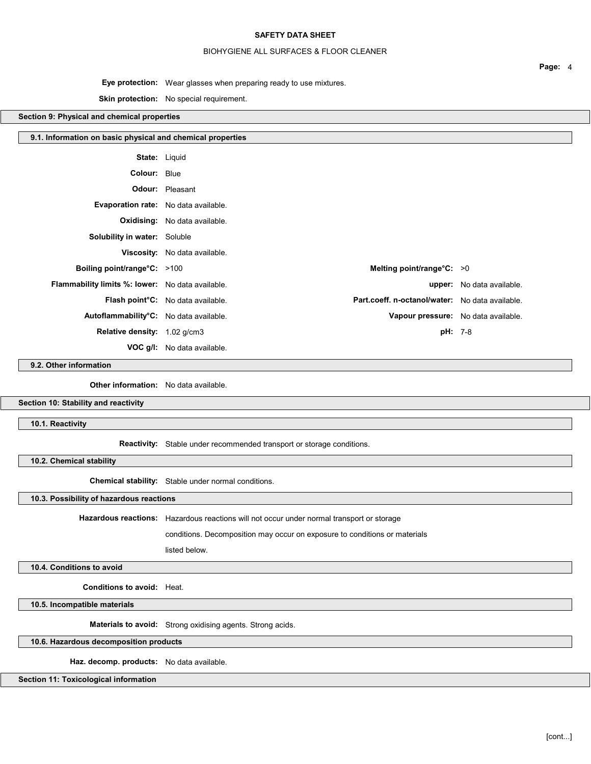## BIOHYGIENE ALL SURFACES & FLOOR CLEANER

Page: 4

Eye protection: Wear glasses when preparing ready to use mixtures.

## Skin protection: No special requirement.

## Section 9: Physical and chemical properties

| 9.1. Information on basic physical and chemical properties |                                                                                      |                           |
|------------------------------------------------------------|--------------------------------------------------------------------------------------|---------------------------|
|                                                            | <b>State: Liquid</b>                                                                 |                           |
| Colour: Blue                                               |                                                                                      |                           |
|                                                            | <b>Odour:</b> Pleasant                                                               |                           |
| Evaporation rate: No data available.                       |                                                                                      |                           |
|                                                            | <b>Oxidising:</b> No data available.                                                 |                           |
| <b>Solubility in water:</b> Soluble                        |                                                                                      |                           |
|                                                            | Viscosity: No data available.                                                        |                           |
| Boiling point/range°C: >100                                | Melting point/range $°C: >0$                                                         |                           |
| <b>Flammability limits %: lower:</b> No data available.    |                                                                                      | upper: No data available. |
|                                                            | Part.coeff. n-octanol/water: No data available.<br>Flash point°C: No data available. |                           |
| Autoflammability°C: No data available.                     | Vapour pressure: No data available.                                                  |                           |
| Relative density: 1.02 g/cm3                               |                                                                                      | <b>pH:</b> 7-8            |
|                                                            | <b>VOC g/l:</b> No data available.                                                   |                           |

9.2. Other information

**Other information:** No data available.

Section 10: Stability and reactivity

10.1. Reactivity

Reactivity: Stable under recommended transport or storage conditions.

10.2. Chemical stability

Chemical stability: Stable under normal conditions.

10.3. Possibility of hazardous reactions

Hazardous reactions: Hazardous reactions will not occur under normal transport or storage

conditions. Decomposition may occur on exposure to conditions or materials

listed below.

10.4. Conditions to avoid

Conditions to avoid: Heat.

10.5. Incompatible materials

Materials to avoid: Strong oxidising agents. Strong acids.

10.6. Hazardous decomposition products

Haz. decomp. products: No data available.

Section 11: Toxicological information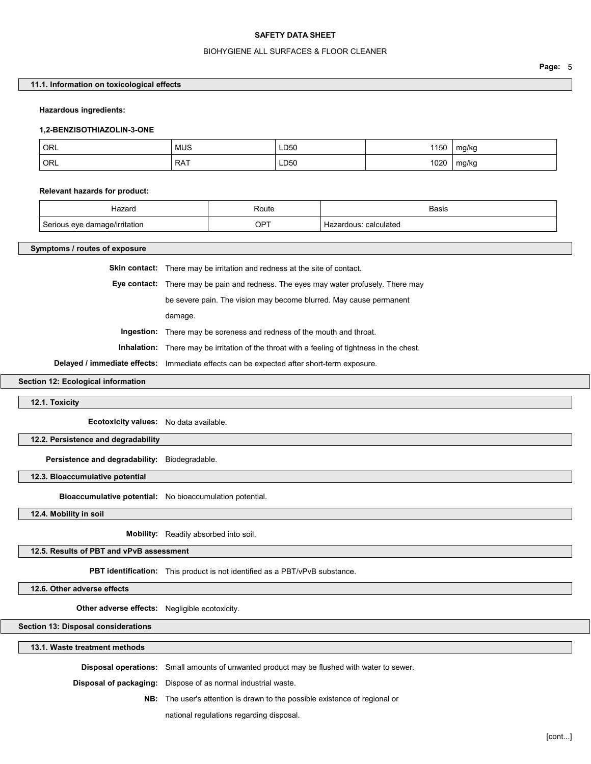#### BIOHYGIENE ALL SURFACES & FLOOR CLEANER

Page: 5

## 11.1. Information on toxicological effects

#### Hazardous ingredients:

#### 1,2-BENZISOTHIAZOLIN-3-ONE

| ORL | MUS        | LD50<br>$\sim$ $\sim$ | 1150 | mg/kg<br>J      |
|-----|------------|-----------------------|------|-----------------|
| ORL | <b>RAT</b> | LD50                  | 1020 | mg/kg<br>÷<br>ັ |

#### Relevant hazards for product:

| Hazard                        | Route<br>.    | <b>Basis</b>              |
|-------------------------------|---------------|---------------------------|
| ™ritation<br>$\sim$<br>$\sim$ | OPT<br>$\sim$ | calculated<br>$\ddot{\,}$ |

#### Symptoms / routes of exposure

Skin contact: There may be irritation and redness at the site of contact.

Eye contact: There may be pain and redness. The eyes may water profusely. There may

be severe pain. The vision may become blurred. May cause permanent

damage.

Ingestion: There may be soreness and redness of the mouth and throat.

Inhalation: There may be irritation of the throat with a feeling of tightness in the chest.

Delayed / immediate effects: Immediate effects can be expected after short-term exposure.

Section 12: Ecological information

#### 12.1. Toxicity

Ecotoxicity values: No data available.

#### 12.2. Persistence and degradability

Persistence and degradability: Biodegradable.

#### 12.3. Bioaccumulative potential

Bioaccumulative potential: No bioaccumulation potential.

12.4. Mobility in soil

Mobility: Readily absorbed into soil.

12.5. Results of PBT and vPvB assessment

PBT identification: This product is not identified as a PBT/vPvB substance.

12.6. Other adverse effects

Other adverse effects: Negligible ecotoxicity.

Section 13: Disposal considerations

13.1. Waste treatment methods

Disposal operations: Small amounts of unwanted product may be flushed with water to sewer.

- Disposal of packaging: Dispose of as normal industrial waste.
	- NB: The user's attention is drawn to the possible existence of regional or

national regulations regarding disposal.